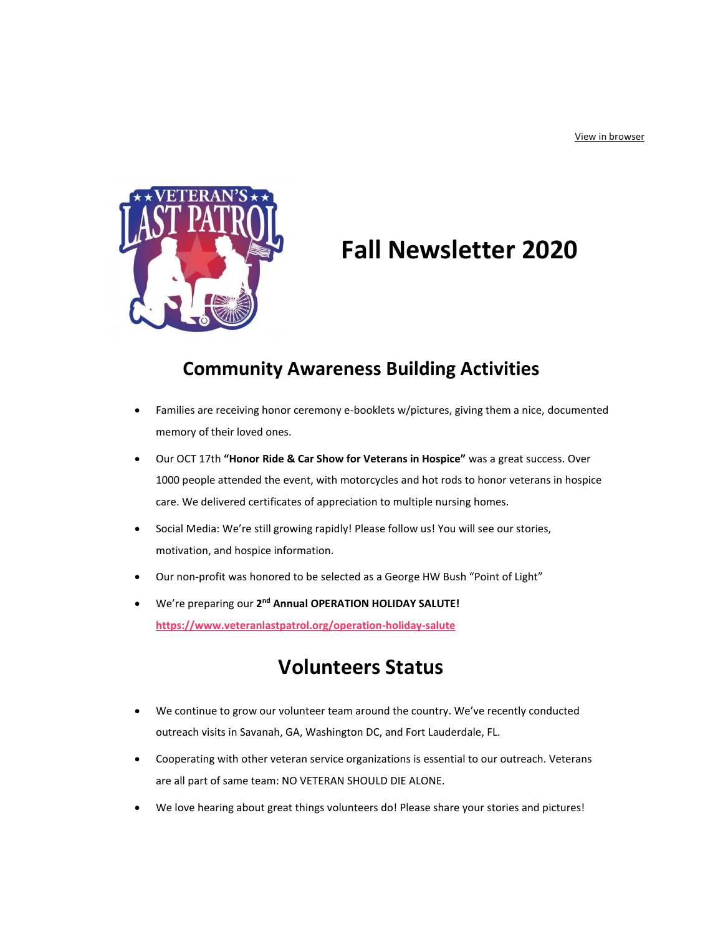

# **Fall Newsletter 2020**

## **Community Awareness Building Activities**

- Families are receiving honor ceremony e-booklets w/pictures, giving them a nice, documented memory of their loved ones.
- Our OCT 17th **"Honor Ride & Car Show for Veterans in Hospice"** was a great success. Over 1000 people attended the event, with motorcycles and hot rods to honor veterans in hospice care. We delivered certificates of appreciation to multiple nursing homes.
- Social Media: We're still growing rapidly! Please follow us! You will see our stories, motivation, and hospice information.
- Our non-profit was honored to be selected as a George HW Bush "Point of Light"
- **•** We're preparing our 2<sup>nd</sup> Annual OPERATION HOLIDAY SALUTE! **[https://www.veteranlastpatrol.org/operation-holiday-salute](https://url.emailprotection.link/?bhKWMoFyg08zUWQDEQZooCtbkJePaO5c5m_gnu93Jp45gCsozgPmaFevOVzztkEf6u42vwjcmC2FLLnVjpRIth5fUmSHyohmAqtaJDuHPSWFUb1Zcr0sVQ_7ltyPBik-T)**

## **Volunteers Status**

- We continue to grow our volunteer team around the country. We've recently conducted outreach visits in Savanah, GA, Washington DC, and Fort Lauderdale, FL.
- Cooperating with other veteran service organizations is essential to our outreach. Veterans are all part of same team: NO VETERAN SHOULD DIE ALONE.
- We love hearing about great things volunteers do! Please share your stories and pictures!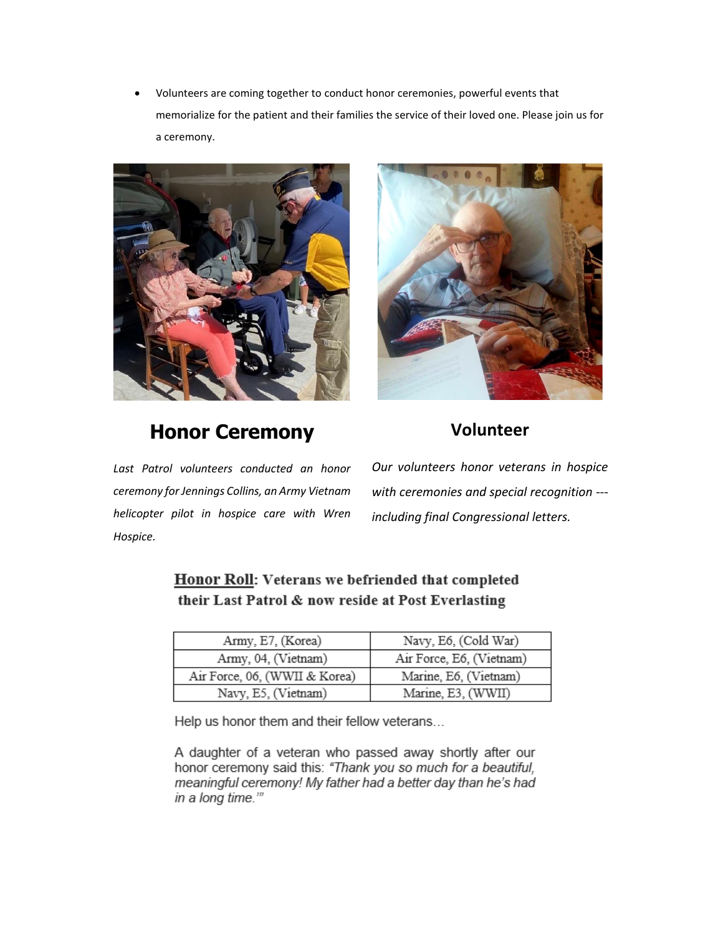• Volunteers are coming together to conduct honor ceremonies, powerful events that memorialize for the patient and their families the service of their loved one. Please join us for a ceremony.



# **Honor Ceremony**



## **Volunteer**

*Last Patrol volunteers conducted an honor ceremony for Jennings Collins, an Army Vietnam helicopter pilot in hospice care with Wren Hospice.*

*Our volunteers honor veterans in hospice with ceremonies and special recognition -- including final Congressional letters.*

| Honor Roll: Veterans we befriended that completed  |
|----------------------------------------------------|
| their Last Patrol & now reside at Post Everlasting |

| Army, E7, (Korea)             | Navy, E6, (Cold War)     |
|-------------------------------|--------------------------|
| Army, 04, (Vietnam)           | Air Force, E6, (Vietnam) |
| Air Force, 06, (WWII & Korea) | Marine, E6, (Vietnam)    |
| Navy, E5, (Vietnam)           | Marine, E3, (WWII)       |

Help us honor them and their fellow veterans...

A daughter of a veteran who passed away shortly after our honor ceremony said this: "Thank you so much for a beautiful, meaningful ceremony! My father had a better day than he's had in a long time.""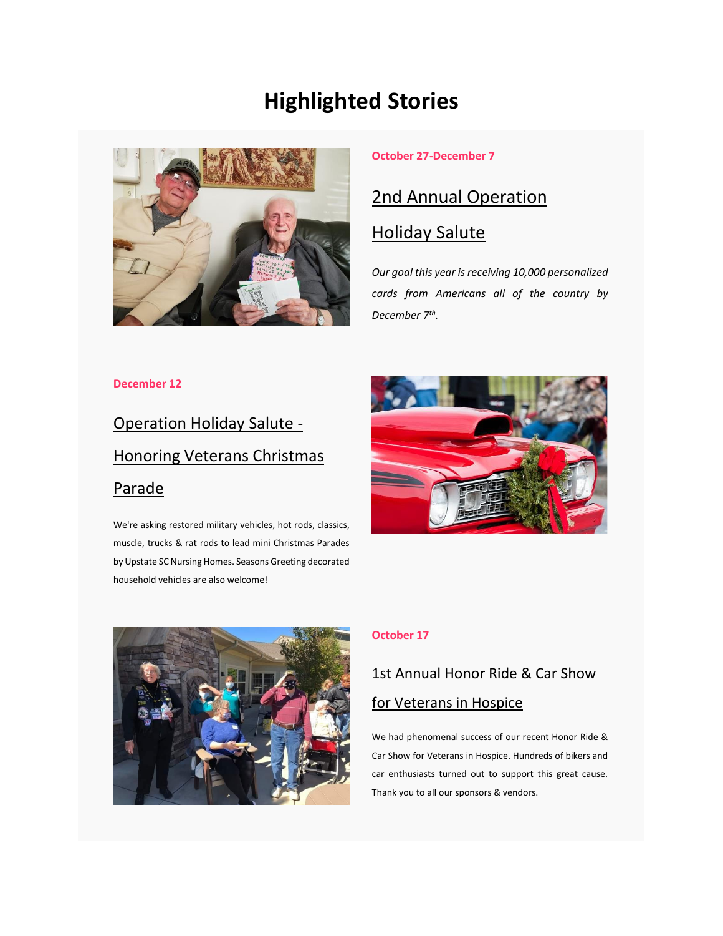# **Highlighted Stories**



### **October 27-December 7**

## [2nd Annual Operation](https://url.emailprotection.link/?bhKWMoFyg08zUWQDEQZooCtbkJePaO5c5m_gnu93Jp45gCsozgPmaFevOVzztkEf6u42vwjcmC2FLLnVjpRIth5fUmSHyohmAqtaJDuHPSWFUb1Zcr0sVQ_7ltyPBik-T)

## [Holiday Salute](https://url.emailprotection.link/?bhKWMoFyg08zUWQDEQZooCtbkJePaO5c5m_gnu93Jp45gCsozgPmaFevOVzztkEf6u42vwjcmC2FLLnVjpRIth5fUmSHyohmAqtaJDuHPSWFUb1Zcr0sVQ_7ltyPBik-T)

*Our goal this year is receiving 10,000 personalized cards from Americans all of the country by December 7th .*

### **December 12**

# [Operation Holiday Salute -](https://url.emailprotection.link/?b0kdmigkeuDTnk4eRVkNJ3mOCxuJOFqowC2K2afbIqskzxEHQUkIF6kSgB-W-0DFtXbihB3wcMpYxLDfnk8hsXtcbycTmuoZwNSHxW2s1KdsngaC-C_lbnLeaA3YyHva0) [Honoring Veterans Christmas](https://url.emailprotection.link/?b0kdmigkeuDTnk4eRVkNJ3mOCxuJOFqowC2K2afbIqskzxEHQUkIF6kSgB-W-0DFtXbihB3wcMpYxLDfnk8hsXtcbycTmuoZwNSHxW2s1KdsngaC-C_lbnLeaA3YyHva0)  [Parade](https://url.emailprotection.link/?b0kdmigkeuDTnk4eRVkNJ3mOCxuJOFqowC2K2afbIqskzxEHQUkIF6kSgB-W-0DFtXbihB3wcMpYxLDfnk8hsXtcbycTmuoZwNSHxW2s1KdsngaC-C_lbnLeaA3YyHva0)

We're asking restored military vehicles, hot rods, classics, muscle, trucks & rat rods to lead mini Christmas Parades by Upstate SC Nursing Homes. Seasons Greeting decorated household vehicles are also welcome!





#### **October 17**

# 1st Annual Honor Ride & Car Show [for Veterans in Hospice](https://url.emailprotection.link/?bxEkuT-74ymASzqYvcwIW-HnTIS6LY2qcSgzF9AG2Usp6MCheWt8NizBxvJNiBEOh_giP9rSTc7HWeJej_8Bpv9k0nMtzVEVp-bAfUgiv8mPjUuRvS8LEgFr1ULVohasf5zPBQawNDmuj1IafG35ladRocp4P2K3pqqY_jjnESjI~)

We had phenomenal success of our recent Honor Ride & Car Show for Veterans in Hospice. Hundreds of bikers and car enthusiasts turned out to support this great cause. Thank you to all our sponsors & vendors.